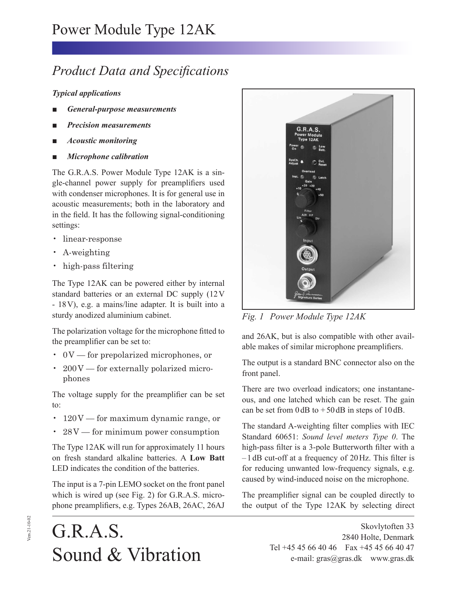## *Product Data and Specifications*

## *Typical applications*

- *General-purpose measurements*
- *Precision measurements*
- *Acoustic monitoring*
- *Microphone calibration*

The G.R.A.S. Power Module Type 12AK is a single-channel power supply for preamplifiers used with condenser microphones. It is for general use in acoustic measurements; both in the laboratory and in the field. It has the following signal-conditioning settings:

- linear-response
- A-weighting
- high-pass filtering

The Type 12AK can be powered either by internal standard batteries or an external DC supply (12 V - 18 V), e.g. a mains/line adapter. It is built into a sturdy anodized aluminium cabinet.

The polarization voltage for the microphone fitted to the preamplifier can be set to:

- 0 V for prepolarized microphones, or
- 200V for externally polarized microphones

The voltage supply for the preamplifier can be set to:

- 120V for maximum dynamic range, or
- 28V for minimum power consumption

The Type 12AK will run for approximately 11 hours on fresh standard alkaline batteries. A **Low Batt** LED indicates the condition of the batteries.

The input is a 7-pin LEMO socket on the front panel which is wired up (see Fig. 2) for G.R.A.S. microphone preamplifiers, e.g. Types 26AB, 26AC, 26AJ





*Fig. 1 Power Module Type 12AK*

and 26AK, but is also compatible with other available makes of similar microphone preamplifiers.

The output is a standard BNC connector also on the front panel.

There are two overload indicators; one instantaneous, and one latched which can be reset. The gain can be set from  $0 \, dB$  to  $+ 50 \, dB$  in steps of  $10 \, dB$ .

The standard A-weighting filter complies with IEC Standard 60651: *Sound level meters Type 0*. The high-pass filter is a 3-pole Butterworth filter with a  $-1$  dB cut-off at a frequency of 20 Hz. This filter is for reducing unwanted low-frequency signals, e.g. caused by wind-induced noise on the microphone.

The preamplifier signal can be coupled directly to the output of the Type 12AK by selecting direct

> Skovlytoften 33 2840 Holte, Denmark Tel +45 45 66 40 46 Fax +45 45 66 40 47 e-mail: gras@gras.dk www.gras.dk